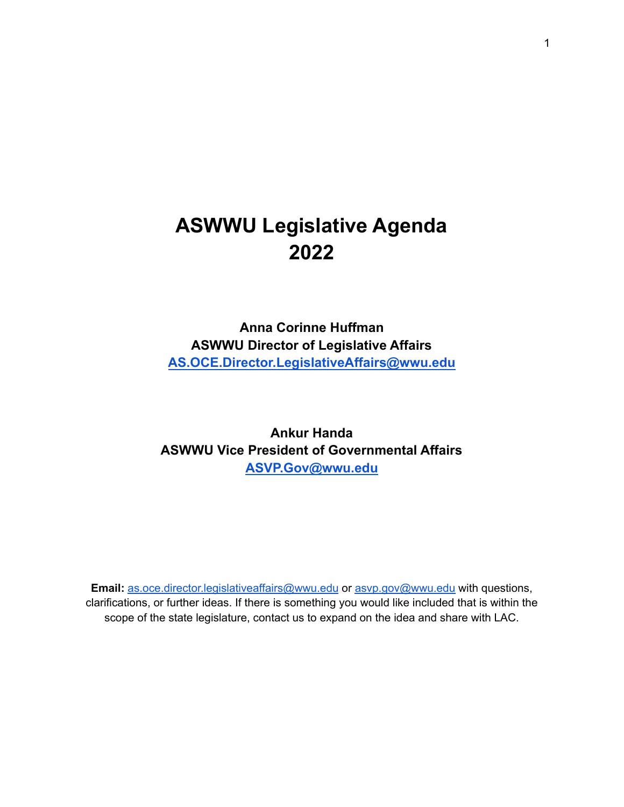# **ASWWU Legislative Agenda 2022**

**Anna Corinne Huffman ASWWU Director of Legislative Affairs [AS.OCE.Director.LegislativeAffairs@wwu.edu](mailto:AS.OCE.Director.LegislativeAffairs@wwu.edu)**

**Ankur Handa ASWWU Vice President of Governmental Affairs [ASVP.Gov@wwu.edu](mailto:ASVP.Gov@wwu.edu)**

**Email:** [as.oce.director.legislativeaffairs@wwu.edu](mailto:as.oce.director.legislativeaffairs@wwu.edu) or [asvp.gov@wwu.edu](mailto:asvp.gov@wwu.edu) with questions, clarifications, or further ideas. If there is something you would like included that is within the scope of the state legislature, contact us to expand on the idea and share with LAC.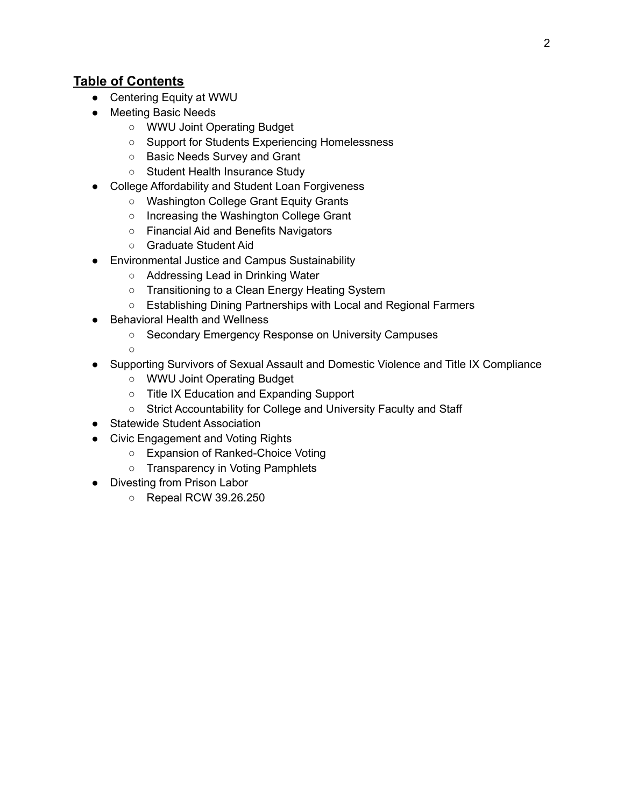#### **Table of Contents**

- Centering Equity at WWU
- Meeting Basic Needs
	- WWU Joint Operating Budget
	- Support for Students Experiencing Homelessness
	- Basic Needs Survey and Grant
	- Student Health Insurance Study
- College Affordability and Student Loan Forgiveness
	- Washington College Grant Equity Grants
	- Increasing the Washington College Grant
	- Financial Aid and Benefits Navigators
	- Graduate Student Aid
- **Environmental Justice and Campus Sustainability** 
	- Addressing Lead in Drinking Water
	- Transitioning to a Clean Energy Heating System
	- Establishing Dining Partnerships with Local and Regional Farmers
- Behavioral Health and Wellness
	- Secondary Emergency Response on University Campuses
	- ○
- Supporting Survivors of Sexual Assault and Domestic Violence and Title IX Compliance
	- WWU Joint Operating Budget
	- Title IX Education and Expanding Support
	- Strict Accountability for College and University Faculty and Staff
- Statewide Student Association
- Civic Engagement and Voting Rights
	- Expansion of Ranked-Choice Voting
	- Transparency in Voting Pamphlets
- Divesting from Prison Labor
	- Repeal RCW 39.26.250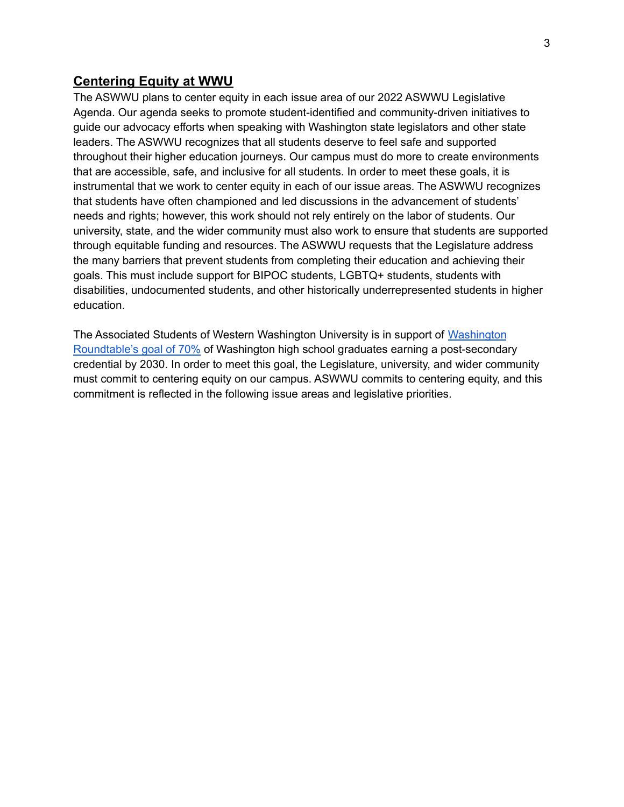#### **Centering Equity at WWU**

The ASWWU plans to center equity in each issue area of our 2022 ASWWU Legislative Agenda. Our agenda seeks to promote student-identified and community-driven initiatives to guide our advocacy efforts when speaking with Washington state legislators and other state leaders. The ASWWU recognizes that all students deserve to feel safe and supported throughout their higher education journeys. Our campus must do more to create environments that are accessible, safe, and inclusive for all students. In order to meet these goals, it is instrumental that we work to center equity in each of our issue areas. The ASWWU recognizes that students have often championed and led discussions in the advancement of students' needs and rights; however, this work should not rely entirely on the labor of students. Our university, state, and the wider community must also work to ensure that students are supported through equitable funding and resources. The ASWWU requests that the Legislature address the many barriers that prevent students from completing their education and achieving their goals. This must include support for BIPOC students, LGBTQ+ students, students with disabilities, undocumented students, and other historically underrepresented students in higher education.

The Associated Students of Western Washington University is in support of [Washington](https://www.waroundtable.com/wp-content/uploads/2018/06/WKWJ-Path-to-70-Credential-Attain_FINAL-REPORT.pdf) [Roundtable's](https://www.waroundtable.com/wp-content/uploads/2018/06/WKWJ-Path-to-70-Credential-Attain_FINAL-REPORT.pdf) goal of 70% of Washington high school graduates earning a post-secondary credential by 2030. In order to meet this goal, the Legislature, university, and wider community must commit to centering equity on our campus. ASWWU commits to centering equity, and this commitment is reflected in the following issue areas and legislative priorities.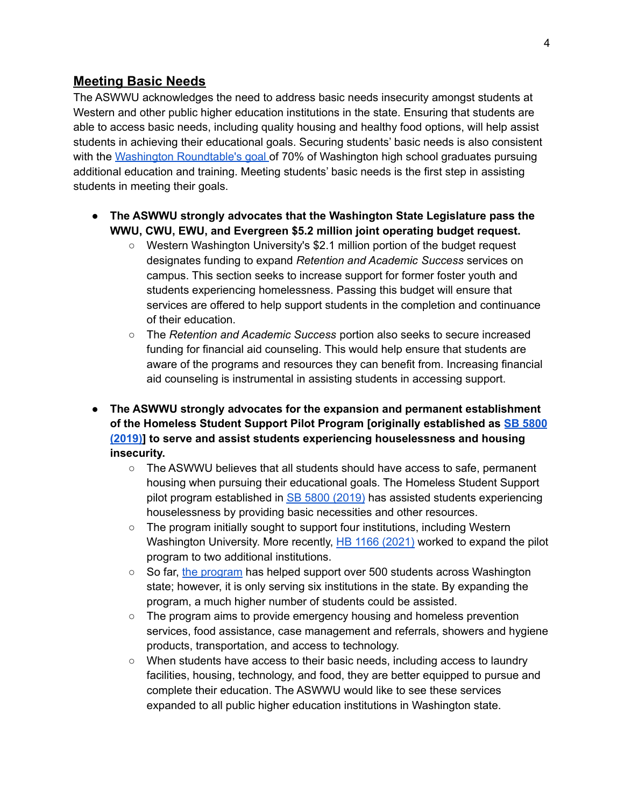#### **Meeting Basic Needs**

The ASWWU acknowledges the need to address basic needs insecurity amongst students at Western and other public higher education institutions in the state. Ensuring that students are able to access basic needs, including quality housing and healthy food options, will help assist students in achieving their educational goals. Securing students' basic needs is also consistent with the Washington [Roundtable's](https://www.waroundtable.com/wp-content/uploads/2018/06/WKWJ-Path-to-70-Credential-Attain_FINAL-REPORT.pdf) goal of 70% of Washington high school graduates pursuing additional education and training. Meeting students' basic needs is the first step in assisting students in meeting their goals.

- **● The ASWWU strongly advocates that the Washington State Legislature pass the WWU, CWU, EWU, and Evergreen \$5.2 million joint operating budget request.**
	- Western Washington University's \$2.1 million portion of the budget request designates funding to expand *Retention and Academic Success* services on campus. This section seeks to increase support for former foster youth and students experiencing homelessness. Passing this budget will ensure that services are offered to help support students in the completion and continuance of their education.
	- The *Retention and Academic Success* portion also seeks to secure increased funding for financial aid counseling. This would help ensure that students are aware of the programs and resources they can benefit from. Increasing financial aid counseling is instrumental in assisting students in accessing support.
- **● The ASWWU strongly advocates for the expansion and permanent establishment of the Homeless Student Support Pilot Program [originally established as SB [5800](https://app.leg.wa.gov/billsummary?BillNumber=5800&Year=2019) [\(2019\)\]](https://app.leg.wa.gov/billsummary?BillNumber=5800&Year=2019) to serve and assist students experiencing houselessness and housing insecurity.**
	- The ASWWU believes that all students should have access to safe, permanent housing when pursuing their educational goals. The Homeless Student Support pilot program established in SB 5800 [\(2019\)](https://app.leg.wa.gov/billsummary?BillNumber=5800&Year=2019) has assisted students experiencing houselessness by providing basic necessities and other resources.
	- The program initially sought to support four institutions, including Western Washington University. More recently, HB 1166 [\(2021\)](https://app.leg.wa.gov/billsummary?BillNumber=1166&Year=2021&Initiative=false) worked to expand the pilot program to two additional institutions.
	- So far, the [program](https://docs.google.com/document/d/14sZScPve1s9pbED6VupCnjui9193Z5GrbzQaWAGFucE/edit) has helped support over 500 students across Washington state; however, it is only serving six institutions in the state. By expanding the program, a much higher number of students could be assisted.
	- The program aims to provide emergency housing and homeless prevention services, food assistance, case management and referrals, showers and hygiene products, transportation, and access to technology.
	- When students have access to their basic needs, including access to laundry facilities, housing, technology, and food, they are better equipped to pursue and complete their education. The ASWWU would like to see these services expanded to all public higher education institutions in Washington state.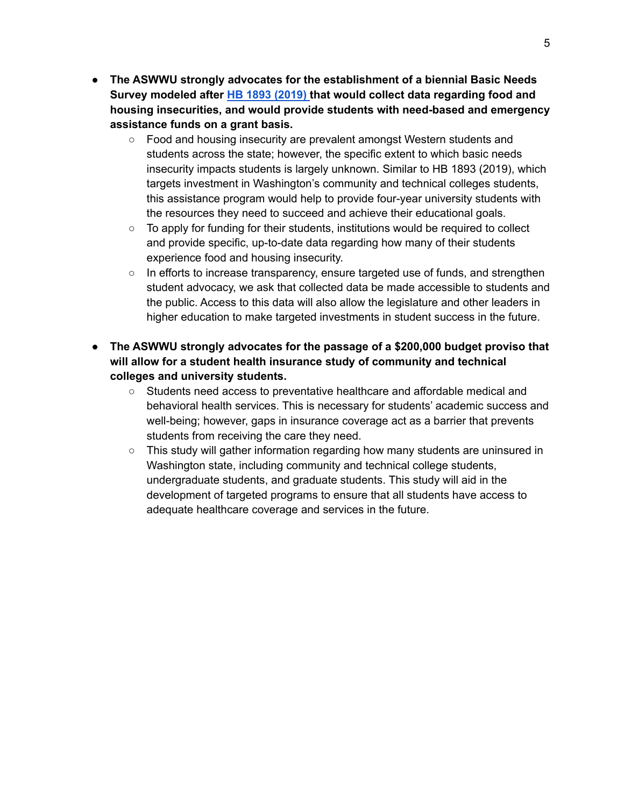- **● The ASWWU strongly advocates for the establishment of a biennial Basic Needs Survey modeled after HB 1893 [\(2019\)](https://app.leg.wa.gov/billsummary?BillNumber=1893&Initiative=false&Year=2019) that would collect data regarding food and housing insecurities, and would provide students with need-based and emergency assistance funds on a grant basis.**
	- Food and housing insecurity are prevalent amongst Western students and students across the state; however, the specific extent to which basic needs insecurity impacts students is largely unknown. Similar to HB 1893 (2019), which targets investment in Washington's community and technical colleges students, this assistance program would help to provide four-year university students with the resources they need to succeed and achieve their educational goals.
	- $\circ$  To apply for funding for their students, institutions would be required to collect and provide specific, up-to-date data regarding how many of their students experience food and housing insecurity.
	- $\circ$  In efforts to increase transparency, ensure targeted use of funds, and strengthen student advocacy, we ask that collected data be made accessible to students and the public. Access to this data will also allow the legislature and other leaders in higher education to make targeted investments in student success in the future.
- **● The ASWWU strongly advocates for the passage of a \$200,000 budget proviso that will allow for a student health insurance study of community and technical colleges and university students.**
	- Students need access to preventative healthcare and affordable medical and behavioral health services. This is necessary for students' academic success and well-being; however, gaps in insurance coverage act as a barrier that prevents students from receiving the care they need.
	- This study will gather information regarding how many students are uninsured in Washington state, including community and technical college students, undergraduate students, and graduate students. This study will aid in the development of targeted programs to ensure that all students have access to adequate healthcare coverage and services in the future.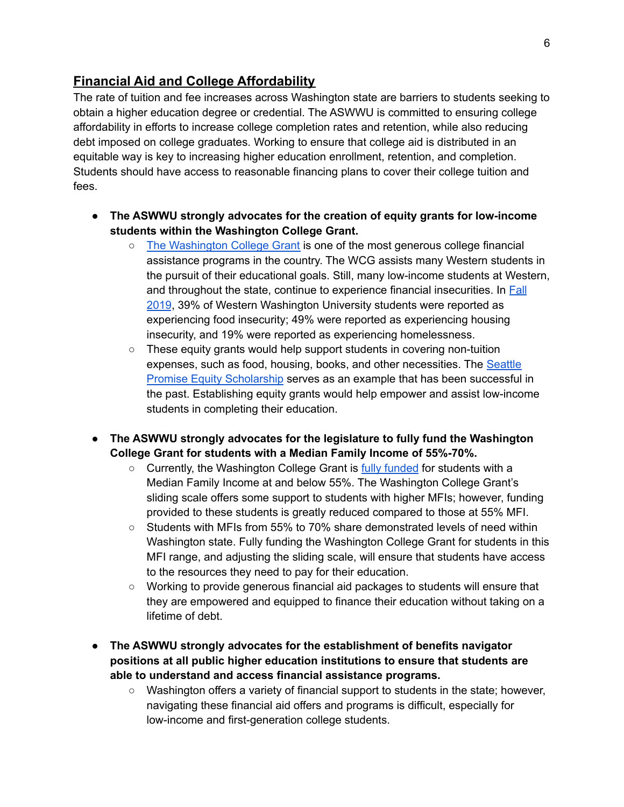#### **Financial Aid and College Affordability**

The rate of tuition and fee increases across Washington state are barriers to students seeking to obtain a higher education degree or credential. The ASWWU is committed to ensuring college affordability in efforts to increase college completion rates and retention, while also reducing debt imposed on college graduates. Working to ensure that college aid is distributed in an equitable way is key to increasing higher education enrollment, retention, and completion. Students should have access to reasonable financing plans to cover their college tuition and fees.

- **● The ASWWU strongly advocates for the creation of equity grants for low-income students within the Washington College Grant.**
	- The [Washington](https://wsac.wa.gov/wcg) College Grant is one of the most generous college financial assistance programs in the country. The WCG assists many Western students in the pursuit of their educational goals. Still, many low-income students at Western, and throughout the state, continue to experience financial insecurities. In [Fall](https://docs.google.com/document/d/14sZScPve1s9pbED6VupCnjui9193Z5GrbzQaWAGFucE/edit#) [2019](https://docs.google.com/document/d/14sZScPve1s9pbED6VupCnjui9193Z5GrbzQaWAGFucE/edit#), 39% of Western Washington University students were reported as experiencing food insecurity; 49% were reported as experiencing housing insecurity, and 19% were reported as experiencing homelessness.
	- $\circ$  These equity grants would help support students in covering non-tuition expenses, such as food, housing, books, and other necessities. The [Seattle](https://www.seattlecolleges.edu/sites/seattlecolleges.southseattle.edu/files/inline-files/How%20Your%20SP%20Scholarship%20Works.final%205.pdf) Promise Equity [Scholarship](https://www.seattlecolleges.edu/sites/seattlecolleges.southseattle.edu/files/inline-files/How%20Your%20SP%20Scholarship%20Works.final%205.pdf) serves as an example that has been successful in the past. Establishing equity grants would help empower and assist low-income students in completing their education.
- **● The ASWWU strongly advocates for the legislature to fully fund the Washington College Grant for students with a Median Family Income of 55%-70%.**
	- $\circ$  Currently, the Washington College Grant is fully [funded](https://wsac.wa.gov/wcg-awards) for students with a Median Family Income at and below 55%. The Washington College Grant's sliding scale offers some support to students with higher MFIs; however, funding provided to these students is greatly reduced compared to those at 55% MFI.
	- Students with MFIs from 55% to 70% share demonstrated levels of need within Washington state. Fully funding the Washington College Grant for students in this MFI range, and adjusting the sliding scale, will ensure that students have access to the resources they need to pay for their education.
	- Working to provide generous financial aid packages to students will ensure that they are empowered and equipped to finance their education without taking on a lifetime of debt.
- **● The ASWWU strongly advocates for the establishment of benefits navigator positions at all public higher education institutions to ensure that students are able to understand and access financial assistance programs.**
	- Washington offers a variety of financial support to students in the state; however, navigating these financial aid offers and programs is difficult, especially for low-income and first-generation college students.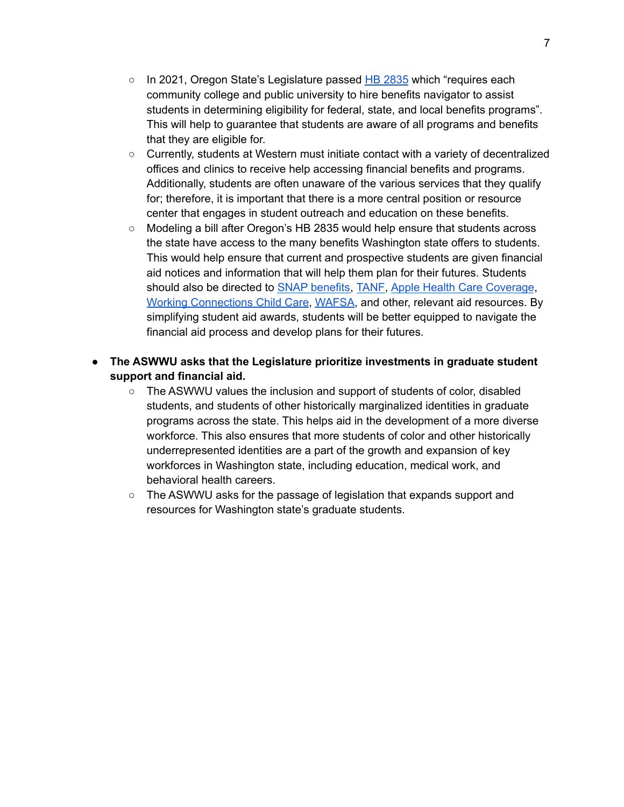- $\circ$  In 2021, Oregon State's Legislature passed HB [2835](https://olis.oregonlegislature.gov/liz/2021R1/Measures/Overview/HB2835) which "requires each community college and public university to hire benefits navigator to assist students in determining eligibility for federal, state, and local benefits programs". This will help to guarantee that students are aware of all programs and benefits that they are eligible for.
- Currently, students at Western must initiate contact with a variety of decentralized offices and clinics to receive help accessing financial benefits and programs. Additionally, students are often unaware of the various services that they qualify for; therefore, it is important that there is a more central position or resource center that engages in student outreach and education on these benefits.
- Modeling a bill after Oregon's HB 2835 would help ensure that students across the state have access to the many benefits Washington state offers to students. This would help ensure that current and prospective students are given financial aid notices and information that will help them plan for their futures. Students should also be directed to SNAP [benefits,](https://www.dshs.wa.gov/esa/community-services-offices/basic-food) [TANF,](https://www.dshs.wa.gov/esa/community-services-offices/tanf-and-support-services) Apple Health Care [Coverage](https://www.hca.wa.gov/health-care-services-supports/apple-health-medicaid-coverage), Working [Connections](https://dcyf.wa.gov/services/earlylearning-childcare/getting-help/wccc) Child Care, [WAFSA](https://wsac.wa.gov/wasfa), and other, relevant aid resources. By simplifying student aid awards, students will be better equipped to navigate the financial aid process and develop plans for their futures.
- **The ASWWU asks that the Legislature prioritize investments in graduate student support and financial aid.**
	- The ASWWU values the inclusion and support of students of color, disabled students, and students of other historically marginalized identities in graduate programs across the state. This helps aid in the development of a more diverse workforce. This also ensures that more students of color and other historically underrepresented identities are a part of the growth and expansion of key workforces in Washington state, including education, medical work, and behavioral health careers.
	- The ASWWU asks for the passage of legislation that expands support and resources for Washington state's graduate students.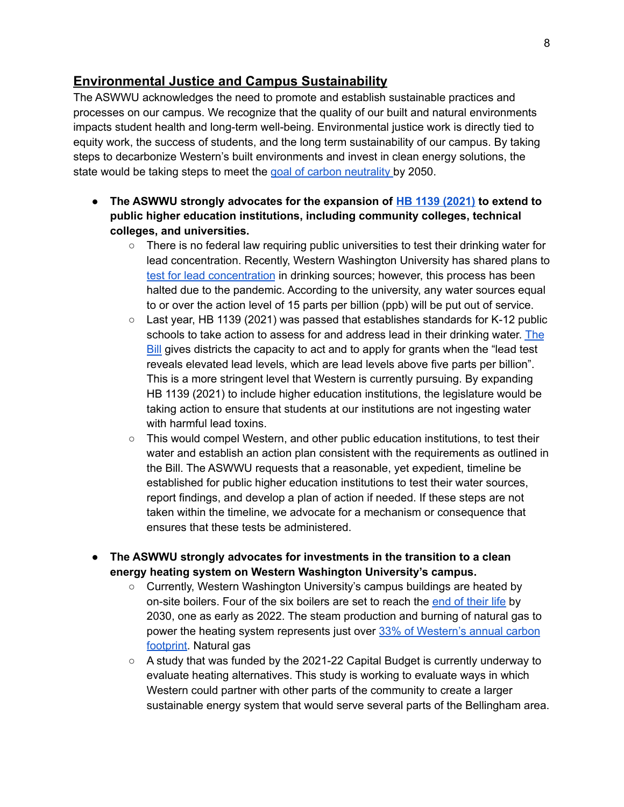#### **Environmental Justice and Campus Sustainability**

The ASWWU acknowledges the need to promote and establish sustainable practices and processes on our campus. We recognize that the quality of our built and natural environments impacts student health and long-term well-being. Environmental justice work is directly tied to equity work, the success of students, and the long term sustainability of our campus. By taking steps to decarbonize Western's built environments and invest in clean energy solutions, the state would be taking steps to meet the goal of carbon [neutrality](https://www.capitalpress.com/state/washington/washington-senate-adopts-carbon-neutral-mandate/article_a5b21578-5f38-11ea-b119-e36573a7bbc9.html) by 2050.

- **● The ASWWU strongly advocates for the expansion of HB 1139 [\(2021\)](https://app.leg.wa.gov/billsummary?BillNumber=1139&Initiative=false&Year=2021) to extend to public higher education institutions, including community colleges, technical colleges, and universities.**
	- There is no federal law requiring public universities to test their drinking water for lead concentration. Recently, Western Washington University has shared plans to test for lead [concentration](https://ehs.wwu.edu/lead-drinking-water-faq) in drinking sources; however, this process has been halted due to the pandemic. According to the university, any water sources equal to or over the action level of 15 parts per billion (ppb) will be put out of service.
	- $\circ$  Last year, HB 1139 (2021) was passed that establishes standards for K-12 public schools to take action to assess for and address lead in their drinking water. [The](https://lawfilesext.leg.wa.gov/biennium/2021-22/Pdf/Bills/Session%20Laws/House/1139-S2.SL.pdf?q=20211110120743) [Bill](https://lawfilesext.leg.wa.gov/biennium/2021-22/Pdf/Bills/Session%20Laws/House/1139-S2.SL.pdf?q=20211110120743) gives districts the capacity to act and to apply for grants when the "lead test reveals elevated lead levels, which are lead levels above five parts per billion". This is a more stringent level that Western is currently pursuing. By expanding HB 1139 (2021) to include higher education institutions, the legislature would be taking action to ensure that students at our institutions are not ingesting water with harmful lead toxins.
	- This would compel Western, and other public education institutions, to test their water and establish an action plan consistent with the requirements as outlined in the Bill. The ASWWU requests that a reasonable, yet expedient, timeline be established for public higher education institutions to test their water sources, report findings, and develop a plan of action if needed. If these steps are not taken within the timeline, we advocate for a mechanism or consequence that ensures that these tests be administered.
- **● The ASWWU strongly advocates for investments in the transition to a clean energy heating system on Western Washington University's campus.**
	- Currently, Western Washington University's campus buildings are heated by on-site boilers. Four of the six boilers are set to reach the end of [their](https://cpd.wwu.edu/files/2020-01/Heating-System-Carbon-Reduction-proposal-binder-with-cover.pdf) life by 2030, one as early as 2022. The steam production and burning of natural gas to power the heating system represents just over 33% of [Western's](https://cpd.wwu.edu/files/2020-01/Heating-System-Carbon-Reduction-proposal-binder-with-cover.pdf) annual carbon [footprint.](https://cpd.wwu.edu/files/2020-01/Heating-System-Carbon-Reduction-proposal-binder-with-cover.pdf) Natural gas
	- A study that was funded by the 2021-22 Capital Budget is currently underway to evaluate heating alternatives. This study is working to evaluate ways in which Western could partner with other parts of the community to create a larger sustainable energy system that would serve several parts of the Bellingham area.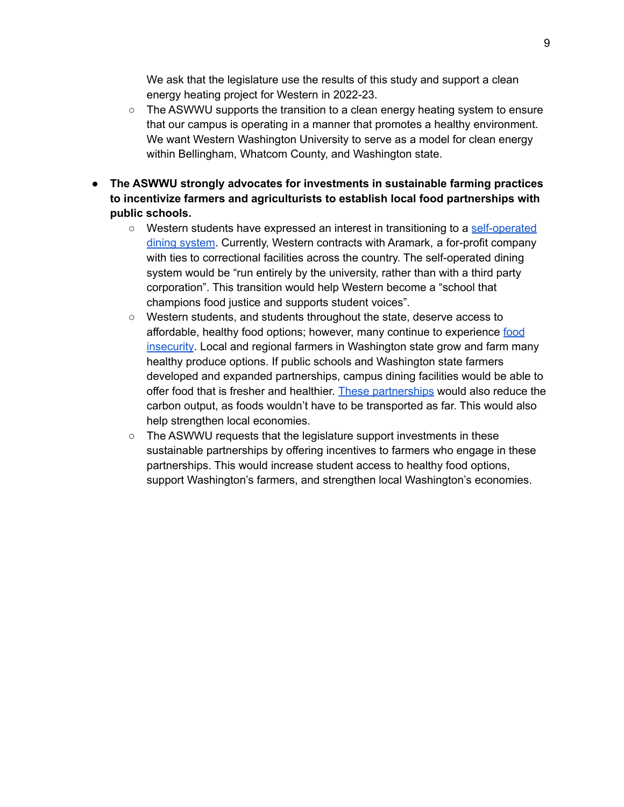We ask that the legislature use the results of this study and support a clean energy heating project for Western in 2022-23.

- The ASWWU supports the transition to a clean energy heating system to ensure that our campus is operating in a manner that promotes a healthy environment. We want Western Washington University to serve as a model for clean energy within Bellingham, Whatcom County, and Washington state.
- **● The ASWWU strongly advocates for investments in sustainable farming practices to incentivize farmers and agriculturists to establish local food partnerships with public schools.**
	- Western students have expressed an interest in transitioning to a [self-operated](https://asvuwwu.blob.core.windows.net/media/up/2019/04/02112019-document-2-shred-the-contract-students-for-a-self-operated-dining-system-cse.pdf) dining [system](https://asvuwwu.blob.core.windows.net/media/up/2019/04/02112019-document-2-shred-the-contract-students-for-a-self-operated-dining-system-cse.pdf). Currently, Western contracts with Aramark, a for-profit company with ties to correctional facilities across the country. The self-operated dining system would be "run entirely by the university, rather than with a third party corporation". This transition would help Western become a "school that champions food justice and supports student voices".
	- Western students, and students throughout the state, deserve access to affordable, healthy food options; however, many continue to experience [food](https://www.doh.wa.gov/Portals/1/Documents/Pubs/160-015-MCHDataRptFoodInsecHunger.pdf) [insecurity](https://www.doh.wa.gov/Portals/1/Documents/Pubs/160-015-MCHDataRptFoodInsecHunger.pdf). Local and regional farmers in Washington state grow and farm many healthy produce options. If public schools and Washington state farmers developed and expanded partnerships, campus dining facilities would be able to offer food that is fresher and healthier. These [partnerships](https://thewholeu.uw.edu/2016/04/29/the-benefits-of-eating-locally-grown-foods/) would also reduce the carbon output, as foods wouldn't have to be transported as far. This would also help strengthen local economies.
	- The ASWWU requests that the legislature support investments in these sustainable partnerships by offering incentives to farmers who engage in these partnerships. This would increase student access to healthy food options, support Washington's farmers, and strengthen local Washington's economies.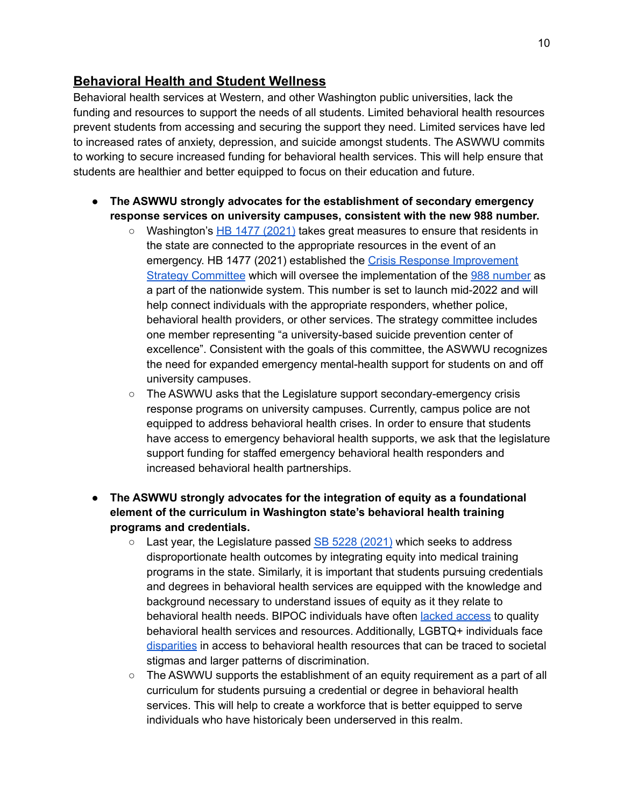### **Behavioral Health and Student Wellness**

Behavioral health services at Western, and other Washington public universities, lack the funding and resources to support the needs of all students. Limited behavioral health resources prevent students from accessing and securing the support they need. Limited services have led to increased rates of anxiety, depression, and suicide amongst students. The ASWWU commits to working to secure increased funding for behavioral health services. This will help ensure that students are healthier and better equipped to focus on their education and future.

- **● The ASWWU strongly advocates for the establishment of secondary emergency response services on university campuses, consistent with the new 988 number.**
	- Washington's HB 1477 [\(2021\)](https://app.leg.wa.gov/billsummary?BillNumber=1477&Year=2021&Initiative=false) takes great measures to ensure that residents in the state are connected to the appropriate resources in the event of an emergency. HB 1477 (2021) established the Crisis Response [Improvement](https://lawfilesext.leg.wa.gov/biennium/2021-22/Pdf/Bills/House%20Passed%20Legislature/1477-S2.PL.pdf?q=20211110213850) Strategy [Committee](https://lawfilesext.leg.wa.gov/biennium/2021-22/Pdf/Bills/House%20Passed%20Legislature/1477-S2.PL.pdf?q=20211110213850) which will oversee the implementation of the 988 [number](https://www.king5.com/article/news/health/washington-launching-988-hotline-for-mental-health-emergencies/281-5e21447e-e780-4b28-8223-3639100a10f4) as a part of the nationwide system. This number is set to launch mid-2022 and will help connect individuals with the appropriate responders, whether police, behavioral health providers, or other services. The strategy committee includes one member representing "a university-based suicide prevention center of excellence". Consistent with the goals of this committee, the ASWWU recognizes the need for expanded emergency mental-health support for students on and off university campuses.
	- The ASWWU asks that the Legislature support secondary-emergency crisis response programs on university campuses. Currently, campus police are not equipped to address behavioral health crises. In order to ensure that students have access to emergency behavioral health supports, we ask that the legislature support funding for staffed emergency behavioral health responders and increased behavioral health partnerships.
- **● The ASWWU strongly advocates for the integration of equity as a foundational element of the curriculum in Washington state's behavioral health training programs and credentials.**
	- $\circ$  Last year, the Legislature passed SB 5228 [\(2021\)](https://app.leg.wa.gov/billsummary?BillNumber=5228&Year=2021&Initiative=false) which seeks to address disproportionate health outcomes by integrating equity into medical training programs in the state. Similarly, it is important that students pursuing credentials and degrees in behavioral health services are equipped with the knowledge and background necessary to understand issues of equity as it they relate to behavioral health needs. BIPOC individuals have often **lacked [access](https://www.jcmh.org/mental-illness-doesnt-discriminate-so-why-do-bipoc-communities-have-difficulty-accessing-care/)** to quality behavioral health services and resources. Additionally, LGBTQ+ individuals face [disparities](https://www.mhanational.org/issues/lgbtq-communities-and-mental-health) in access to behavioral health resources that can be traced to societal stigmas and larger patterns of discrimination.
	- $\circ$  The ASWWU supports the establishment of an equity requirement as a part of all curriculum for students pursuing a credential or degree in behavioral health services. This will help to create a workforce that is better equipped to serve individuals who have historicaly been underserved in this realm.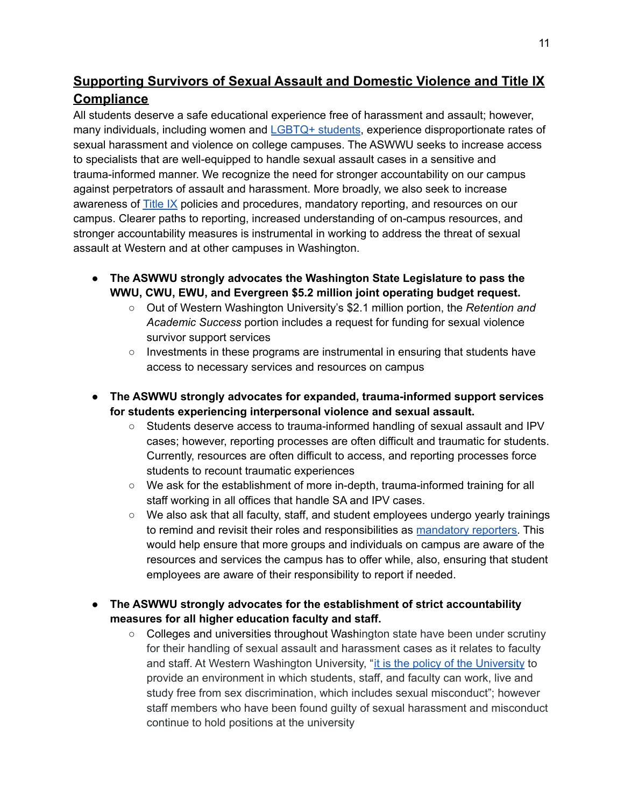## **Supporting Survivors of Sexual Assault and Domestic Violence and Title IX Compliance**

All students deserve a safe educational experience free of harassment and assault; however, many individuals, including women and [LGBTQ+](https://avp.org/wp-content/uploads/2017/04/ncavp_trans_ipvtoolkit.pdf) students, experience disproportionate rates of sexual harassment and violence on college campuses. The ASWWU seeks to increase access to specialists that are well-equipped to handle sexual assault cases in a sensitive and trauma-informed manner. We recognize the need for stronger accountability on our campus against perpetrators of assault and harassment. More broadly, we also seek to increase awareness of [Title](https://www.knowyourix.org/) IX policies and procedures, mandatory reporting, and resources on our campus. Clearer paths to reporting, increased understanding of on-campus resources, and stronger accountability measures is instrumental in working to address the threat of sexual assault at Western and at other campuses in Washington.

- **● The ASWWU strongly advocates the Washington State Legislature to pass the WWU, CWU, EWU, and Evergreen \$5.2 million joint operating budget request.**
	- Out of Western Washington University's \$2.1 million portion, the *Retention and Academic Success* portion includes a request for funding for sexual violence survivor support services
	- Investments in these programs are instrumental in ensuring that students have access to necessary services and resources on campus
- **● The ASWWU strongly advocates for expanded, trauma-informed support services for students experiencing interpersonal violence and sexual assault.**
	- Students deserve access to trauma-informed handling of sexual assault and IPV cases; however, reporting processes are often difficult and traumatic for students. Currently, resources are often difficult to access, and reporting processes force students to recount traumatic experiences
	- We ask for the establishment of more in-depth, trauma-informed training for all staff working in all offices that handle SA and IPV cases.
	- We also ask that all faculty, staff, and student employees undergo yearly trainings to remind and revisit their roles and responsibilities as [mandatory](https://crtc.wwu.edu/process/reporting) reporters. This would help ensure that more groups and individuals on campus are aware of the resources and services the campus has to offer while, also, ensuring that student employees are aware of their responsibility to report if needed.
- **The ASWWU strongly advocates for the establishment of strict accountability measures for all higher education faculty and staff.**
	- Colleges and universities throughout Washington state have been under scrutiny for their handling of sexual assault and harassment cases as it relates to faculty and staff. At Western Washington [University](https://housing.wwu.edu/life-on-campus/community-standards/sexual-misconduct), "it is the policy of the University to provide an environment in which students, staff, and faculty can work, live and study free from sex discrimination, which includes sexual misconduct"; however staff members who have been found guilty of sexual harassment and misconduct continue to hold positions at the university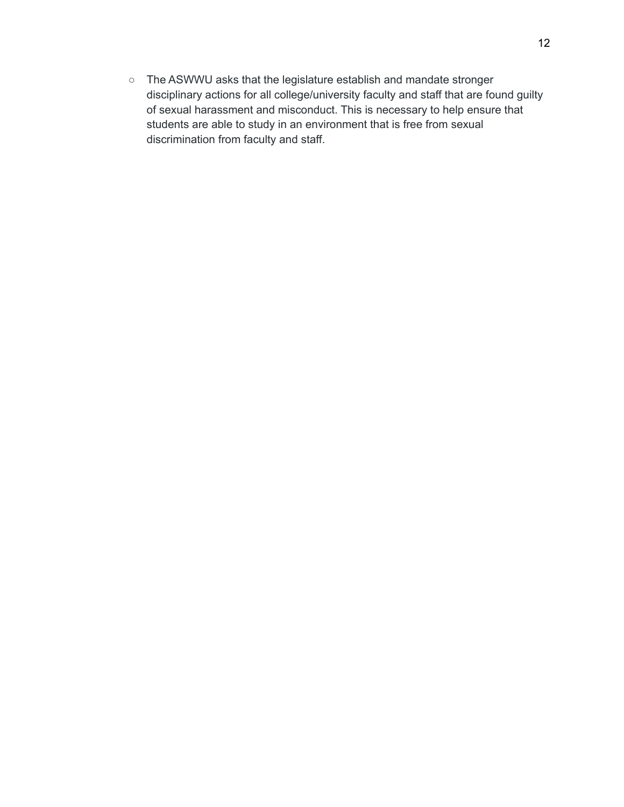○ The ASWWU asks that the legislature establish and mandate stronger disciplinary actions for all college/university faculty and staff that are found guilty of sexual harassment and misconduct. This is necessary to help ensure that students are able to study in an environment that is free from sexual discrimination from faculty and staff.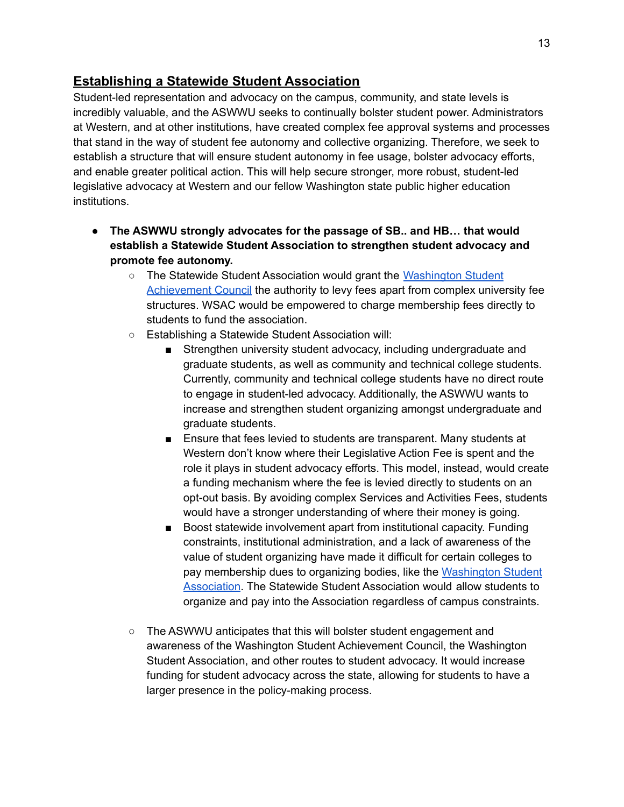#### **Establishing a Statewide Student Association**

Student-led representation and advocacy on the campus, community, and state levels is incredibly valuable, and the ASWWU seeks to continually bolster student power. Administrators at Western, and at other institutions, have created complex fee approval systems and processes that stand in the way of student fee autonomy and collective organizing. Therefore, we seek to establish a structure that will ensure student autonomy in fee usage, bolster advocacy efforts, and enable greater political action. This will help secure stronger, more robust, student-led legislative advocacy at Western and our fellow Washington state public higher education institutions.

- **The ASWWU strongly advocates for the passage of SB.. and HB… that would establish a Statewide Student Association to strengthen student advocacy and promote fee autonomy.**
	- The Statewide Student Association would grant the [Washington](https://wsac.wa.gov/) Student [Achievement](https://wsac.wa.gov/) Council the authority to levy fees apart from complex university fee structures. WSAC would be empowered to charge membership fees directly to students to fund the association.
	- Establishing a Statewide Student Association will:
		- Strengthen university student advocacy, including undergraduate and graduate students, as well as community and technical college students. Currently, community and technical college students have no direct route to engage in student-led advocacy. Additionally, the ASWWU wants to increase and strengthen student organizing amongst undergraduate and graduate students.
		- Ensure that fees levied to students are transparent. Many students at Western don't know where their Legislative Action Fee is spent and the role it plays in student advocacy efforts. This model, instead, would create a funding mechanism where the fee is levied directly to students on an opt-out basis. By avoiding complex Services and Activities Fees, students would have a stronger understanding of where their money is going.
		- Boost statewide involvement apart from institutional capacity. Funding constraints, institutional administration, and a lack of awareness of the value of student organizing have made it difficult for certain colleges to pay membership dues to organizing bodies, like the [Washington](https://www.wastudents.org/) Student [Association](https://www.wastudents.org/). The Statewide Student Association would allow students to organize and pay into the Association regardless of campus constraints.
	- The ASWWU anticipates that this will bolster student engagement and awareness of the Washington Student Achievement Council, the Washington Student Association, and other routes to student advocacy. It would increase funding for student advocacy across the state, allowing for students to have a larger presence in the policy-making process.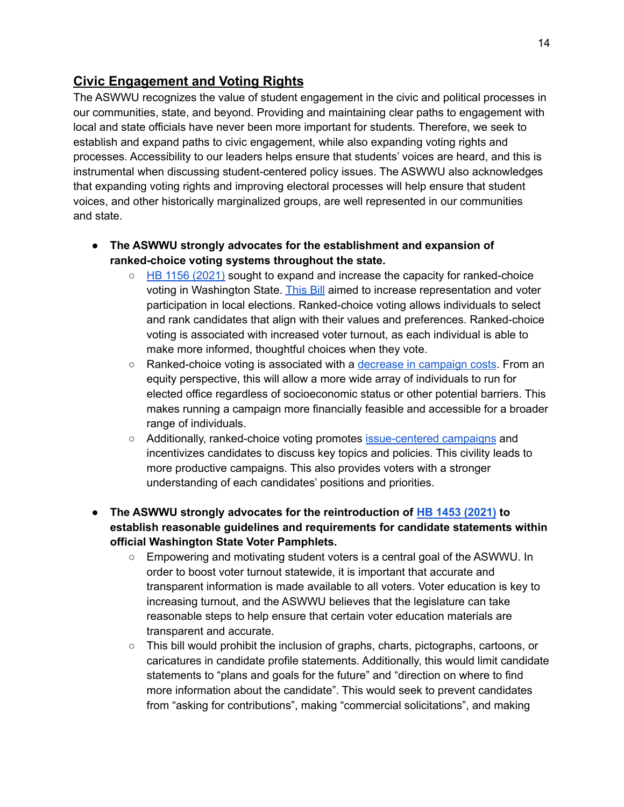### **Civic Engagement and Voting Rights**

The ASWWU recognizes the value of student engagement in the civic and political processes in our communities, state, and beyond. Providing and maintaining clear paths to engagement with local and state officials have never been more important for students. Therefore, we seek to establish and expand paths to civic engagement, while also expanding voting rights and processes. Accessibility to our leaders helps ensure that students' voices are heard, and this is instrumental when discussing student-centered policy issues. The ASWWU also acknowledges that expanding voting rights and improving electoral processes will help ensure that student voices, and other historically marginalized groups, are well represented in our communities and state.

- **● The ASWWU strongly advocates for the establishment and expansion of ranked-choice voting systems throughout the state.**
	- HB 1156 [\(2021\)](https://app.leg.wa.gov/billsummary?BillNumber=1156&Year=2021&Initiative=false) sought to expand and increase the capacity for ranked-choice voting in Washington State. [This](https://lawfilesext.leg.wa.gov/biennium/2021-22/Pdf/Bill%20Reports/House/1156%20HBR%20APP%2021.pdf?q=20210301115603) Bill aimed to increase representation and voter participation in local elections. Ranked-choice voting allows individuals to select and rank candidates that align with their values and preferences. Ranked-choice voting is associated with increased voter turnout, as each individual is able to make more informed, thoughtful choices when they vote.
	- Ranked-choice voting is associated with a decrease in [campaign](https://fairvotewa.org/wp-content/uploads/2020/07/CivicBenefitsRCV.pdf) costs. From an equity perspective, this will allow a more wide array of individuals to run for elected office regardless of socioeconomic status or other potential barriers. This makes running a campaign more financially feasible and accessible for a broader range of individuals.
	- Additionally, ranked-choice voting promotes [issue-centered](https://fairvotewa.org/wp-content/uploads/2020/07/CivicBenefitsRCV.pdf) campaigns and incentivizes candidates to discuss key topics and policies. This civility leads to more productive campaigns. This also provides voters with a stronger understanding of each candidates' positions and priorities.
- **● The ASWWU strongly advocates for the reintroduction of HB 1453 [\(2021\)](https://app.leg.wa.gov/billsummary?BillNumber=1453&Year=2021&Initiative=false) to establish reasonable guidelines and requirements for candidate statements within official Washington State Voter Pamphlets.**
	- Empowering and motivating student voters is a central goal of the ASWWU. In order to boost voter turnout statewide, it is important that accurate and transparent information is made available to all voters. Voter education is key to increasing turnout, and the ASWWU believes that the legislature can take reasonable steps to help ensure that certain voter education materials are transparent and accurate.
	- $\circ$  This bill would prohibit the inclusion of graphs, charts, pictographs, cartoons, or caricatures in candidate profile statements. Additionally, this would limit candidate statements to "plans and goals for the future" and "direction on where to find more information about the candidate". This would seek to prevent candidates from "asking for contributions", making "commercial solicitations", and making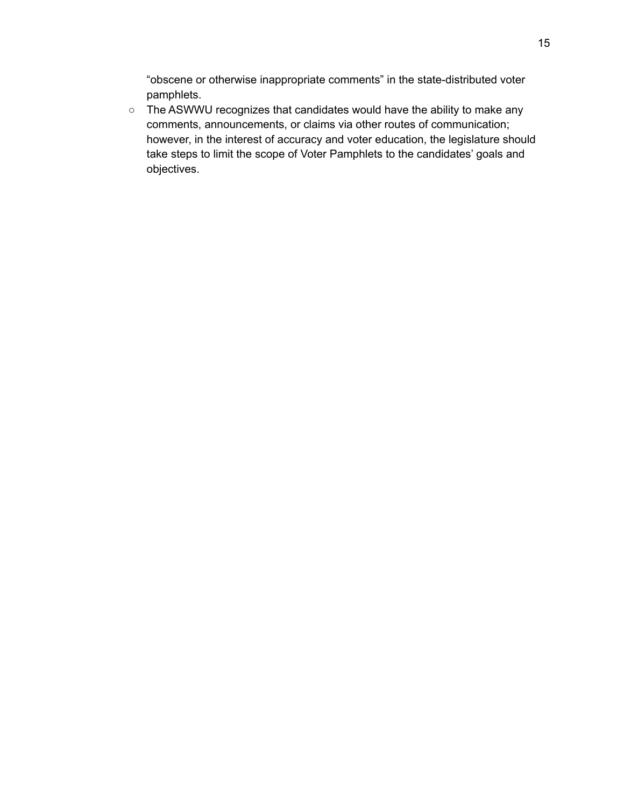"obscene or otherwise inappropriate comments" in the state-distributed voter pamphlets.

○ The ASWWU recognizes that candidates would have the ability to make any comments, announcements, or claims via other routes of communication; however, in the interest of accuracy and voter education, the legislature should take steps to limit the scope of Voter Pamphlets to the candidates' goals and objectives.